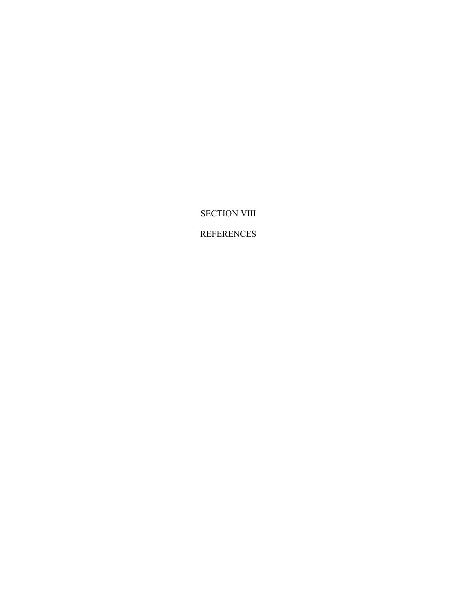SECTION VIII

REFERENCES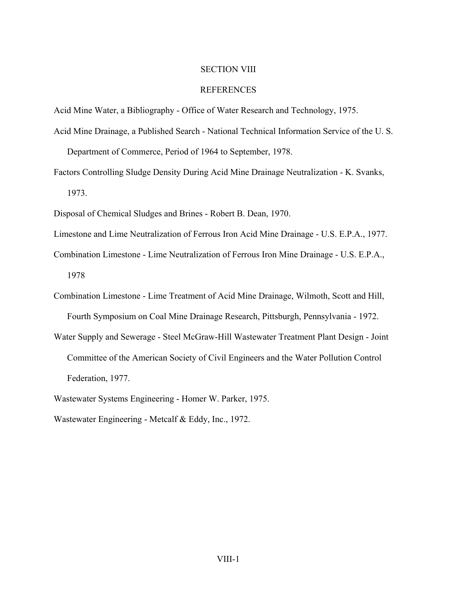## SECTION VIII

## REFERENCES

Acid Mine Water, a Bibliography - Office of Water Research and Technology, 1975.

Acid Mine Drainage, a Published Search - National Technical Information Service of the U. S.

Department of Commerce, Period of 1964 to September, 1978.

Factors Controlling Sludge Density During Acid Mine Drainage Neutralization - K. Svanks, 1973.

Disposal of Chemical Sludges and Brines - Robert B. Dean, 1970.

Limestone and Lime Neutralization of Ferrous Iron Acid Mine Drainage - U.S. E.P.A., 1977.

Combination Limestone - Lime Neutralization of Ferrous Iron Mine Drainage - U.S. E.P.A., 1978

Combination Limestone - Lime Treatment of Acid Mine Drainage, Wilmoth, Scott and Hill, Fourth Symposium on Coal Mine Drainage Research, Pittsburgh, Pennsylvania - 1972.

Water Supply and Sewerage - Steel McGraw-Hill Wastewater Treatment Plant Design - Joint Committee of the American Society of Civil Engineers and the Water Pollution Control Federation, 1977.

Wastewater Systems Engineering - Homer W. Parker, 1975.

Wastewater Engineering - Metcalf & Eddy, Inc., 1972.